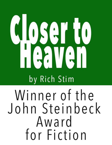# **OSCHO** by Rich Stim Winner of the John Steinbeck Award for Fiction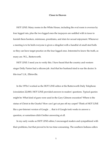# **Closer to Heaven**

HOT LINE: Many rooms in the White House, including the oval room is overrun by four legged rats, plus the two legged ones the taxpayers are saddled with in taxes to furnish them hookers, mistresses, prostitutes, and sluts for sexual enjoyment. Whenever a meeting is to be held everyone is given a slingshot with a handful of small steel balls so they can have target practice on the four legged ones. Interested to know the truth, as many are. W.L., Butterworth.

HOT LINE: I need you to verify this. I have heard that the country and western singer Dolly Parton had a silicone job. And that her husband tried to sue the doctor. Is this true? L.K., Elletsville.

In the 1970s I worked as the HOT LINE editor at the Butterworth Daily Telephone (circulation 22,000). HOT LINE provided answers to readers' questions. Typical queries might be: What kind of guns were used in the Gary Gilmore execution? Where is the statue of Christ in the Ozarks? How can I get cat pee off my carpet? Think of HOT LINE like a pre-Internet version of Google … that is if Google took weeks to answer a question, or sometimes didn't bother answering at all.

In my early weeks as HOT LINE editor, I encouraged readers and sympathized with their problems, but that proved to be too time-consuming. The southern Indiana callers

1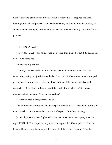liked to chat and often repeated themselves. So, to save time, I dropped the handholding approach and perfected a dispassionate tone, absent any hint of sympathy or encouragement. By April, 1977, when Joan Lee Henderson called, my voice was flat as a pancake.

# "HOT LINE," I said.

"*This is HOT LINE?"* she asked. "You don't sound too excited about it. You seem like you couldn't care less."

"What's your question?"

"This is Joan Lee Henderson. I live here in town and my question is this. Can a tenant stop paying rent just because the landlord died? We have a tenant who stopped paying rent four months ago when my husband died. This tenant says his rental contract is with my husband not me, and that under the law, he's …" She took a moment to find the word. "He's … exonerated."

"Have you tried evicting him?" I asked.

"He told me not to bring the law on the property and that if I started any trouble, he would finish it." She lowered her voice to a whisper. "I think he's on drugs."

Joan's plight — a widow frightened by her tenant — had more urgency than the typical HOT LINE, so I spoke to a sympathetic deputy sheriff who paid a visit to the tenant. The next day, the deputy called to say that the tenant was gone. Also, the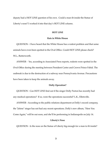deputy had a HOT LINE question of his own. Could a man fit inside the Statue of Liberty's nose? I worked it into that day's HOT LINE column.

#### **HOT LINE**

## **Rats in White House**

QUESTION - I have heard that the White House has a rodent problem and that some animals have even been spotted in the Oval Office. Could HOT LINE please check? W.L., Butterworth.

ANSWER - Yes, according to Associated Press reports, rodents were spotted in the Oval Office during the meeting between President Carter and Crown Prince Fahid. The outbreak is due to the destruction of a subway near Pennsylvania Avenue. Precautions have been taken to keep the animals away.

# **Dolly Operation?**

QUESTION - Can HOT LINE find out if the singer Dolly Parton has recently had any medical operations? If so, were the operations successful? L.K., Elletsville.

ANSWER - According to the public relations department at Dolly's record company, the "Jolene" singer has not had any recent operations. Dolly's new album, "Here You Come Again," will be out soon, and she'll be performing in Indianapolis on July 14.

## **Liberty's Nose**

QUESTION - Is the nose on the Statue of Liberty big enough for a man to fit inside?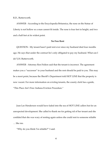R.D., Butterworth.

ANSWER - According to the Encyclopedia Britannica, the nose on the Statue of Liberty is not hollow so a man cannot fit inside. The nose is four feet in height, and two and a half feet at its widest point.

# **No Free Rent**

QUESTION - My tenant hasn't paid rent ever since my husband died four months ago. He says that under the contract he's only obligated to pay my husband. What can I do? J.H. Butterworth.

ANSWER - Attorney Ron Feldon said that the tenant is incorrect. The agreement makes you a "successor" to your husband and the rent should be paid to you. This may be a moot point, because the Sheriff's Department told HOT LINE that the property is now vacant. For more information on evicting tenants, the county clerk has a guide, "This Place Ain't Free: Indiana Eviction Procedure."

Joan Lee Henderson would have faded into the sea of HOT LINE callers but for an unexpected development. She called to thank me for getting rid of her tenant and she confided that she was wary of renting again unless she could rent to someone reliable … like me.

"Why do you think I'm reliable?" I said.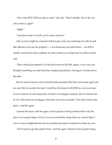"You write HOT LINE six days a week," she said. "That's reliable. You're the one who writes it, right?"

"Right."

"And from what I can tell, you're smart, and fair."

Like an actor might be confused with his part, Joan was confusing me with my job. She offered to rent me her property— a two-bedroom/one-bath house — for \$125 a month. I turned her down, politely. It wasn't much of a savings from my then-current rent.

 That's when Joan offered to *sell* me her house for \$12,500. Again, I was wary and thought something was odd about her misplaced gratitude. And again, I turned down the offer.

But for reasons known only to herself, Joan persisted. She had a real estate agent call me and offer to sweeten the deal: I could buy the house for \$12,000 on a ten-year loanto-own contract, no downpayment, no bank or mortgage company, and an interest rate of 4.5% (the fixed rate mortgage at the time was twice as much). "Just take a look at the place," said the agent.

I toured the house with the agent, and except for a hole punched in the wall, the place was in good shape. In fact, it was in much better shape than my current digs, it was in a nicer neighborhood, and my monthly payments would be less than my rent.

"You'll need to get that gutter fixed," said the agent. About six feet of gutter hung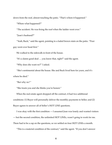down from the roof, almost touching the patio. "That's where it happened."

"Where what happened?"

"The accident. He was fixing the roof when the ladder went over."

"Joan's husband?"

"Yeah, Buck," said the agent, pointing to a faded brown stain on the patio. "Poor guy went over head first."

We walked to the sidewalk in front of the house.

"It's a damn good deal … you know that, right?" said the agent.

"Why does she want *me*?" I asked.

"She's sentimental about the house. She and Buck lived here for years, and it's where he died."

"But why *me?"*

"She trusts you and she thinks you're honest."

When the real estate agent dropped off the contract, it had two additional conditions: (1) Buyer will personally deliver the monthly payments to Seller; and (2) Buyer agrees to answer all of Seller's HOT LINE questions.

I was okay with the first condition — I assumed Joan was lonely and wanted visitors — but the second condition, the unlimited HOT LINEs, wasn't going to work for me. There had to be a cap on the questions, so we settled on four HOT LINEs a month.

"This is a material condition of the contract," said the agent. "If you don't answer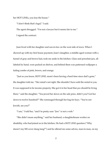her HOT LINEs, you lose the house."

"I don't think that's legal," I said.

The agent shrugged. "I'm not a lawyer but it seems fair to me."

I signed the contract.

Joan lived with her daughter and son-in-law on the west side of town. When I showed up with my first house payment, Joan's daughter, a middle-aged woman with a funnel of gray and brown hair, took me aside in the kitchen. Glass and porcelain jars, all labeled by hand, were packed on shelves, and behind them was patterned wallpaper a fading combo of pink, brown, and orange.

"Just so you know, HOT LINE, mom's been having a hard time since dad's gone," the daughter told me. "Her mind's not right. She shouldn't have sold the rental to you. It was supposed to be income property. She got it in her head that *you* should be living there," said the daughter. "You jewed her down on the sale price, didn't you? Got her down to twelve hundred?" She rummaged through her bag for keys. "You're not Jewish, are you?"

"I am," I told her, "and I'm pretty sure "Jew" is not a verb."

"She didn't mean anything," said her husband, a slaughterhouse worker on disability, who had joined us in the kitchen. He had a HOT LINE question ("Why doesn't my SSI cover dung lung?") and he offered me some advice, man-to-man, on my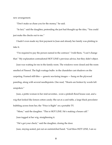new arrangement.

"Don't make us chase you for the money," he said.

"In fact," said the daughter, pretending she just had thought up the idea, "You could just make the checks out to me."

I hadn't even made my first payment to Joan and already her family was plotting to take it.

"I'm required to pay the person named in the contract," I told them, "I can't change that." My explanation contradicted HOT LINE's previous advice, but they didn't object.

Joan was waiting for me in the family room. The windows were closed and the room smelled of Pinesol. The high wattage bulbs in the chandelier cast shadows on the carpeting. Framed still-lifes — generic sea-faring images — hung on the plywood paneling, along with several needlepoints. One read, "Hearts are broken by words left unspoken."

Joan, a petite woman in her mid-seventies , wore a pinkish floral house coat, and a wig that looked like lemon cotton candy. She sat at a card table, a large black percolator bubbling across from her, the "Price is Right" on a portable TV.

"Mom," said the daughter. "This is HOT LINE. He's making a house call." Joan tugged at her wig, straightening it.

"He's got your check," said the daughter, closing the door. Joan, staying seated, put out an outstretched hand. "God bless HOT LINE, I am so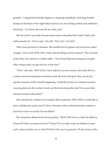grateful." I clasped her bird-like fingers in a fingertip handshake. I felt large knobby bumps on the bones of her right hand and Joan saw me looking at them and pulled her hand back. "At school, the nuns hit me with a rod."

She moved her cup under the percolator spout and pulled the switch. Thick, inky coffee poured out. "Seven cups," she said. "Now *that's* my limit."

Then, Joan got down to business. She reached for her glasses and read from a piece of paper. "First of all, HOT LINE, what's the best thing to do for edema?" She swiveled in her chair and exposed a swollen ankle. "I have heard that four teaspoons of apple cider vinegar daily can get rid of it. Is this true?"

"Next," she said, "HOT LINE, I have talked to several women who claim that if a woman cans food during her menstrual cycle, the food will spoil. They can all cite specific instances of this actually happening. Could this be due to a chemical reaction occurring between the woman's body and the food during this time? If so, just what chemical reaction takes place?"

She watched me writing in my notepad, then continued."HOT LINE, I would like to know whether the actress Ann B. Davis who plays Alice on Brady Bunch is related to Joan Davis who was in My Favorite Blond."

She cleared her throat for her final question. "HOT LINE, how is it that the Midway House VD Clinic can open on East 2<sup>nd</sup> Street? Do we really want our children to pass such a place on their way to school? If that's the way its gonna be, I'll stay home on the

9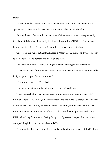farm."

I wrote down her questions and then the daughter and son-in-law joined us for apple fritters. I later saw that Joan had endorsed my check to her daughter.

 During the next few months my routine with Joan rarely varied. I was greeted by the distrustful daughter, hassled by the disabled son-in-law ("HOT LINE, why does it take so long to get my SSI checks?"), and offered coffee and a confection.

Once, Joan told me about her late husband. "Now that Buck is gone, I've got nobody to look after me." She pointed at a photo on the table.

"He was a milk man?" I said, looking at the man standing by the dairy truck.

"We were married for forty-seven years," Joan said. "He wasn't very talkative. I'd be lucky to get a couple of words at dinner."

"The strong, silent type?" I asked.

"He hated questions and he hated raw vegetables," said Joan.

Then, she reached for her sheet of paper and delivered a month's worth of HOT LINE questions ("HOT LINE, whatever happened to the swine flu shots? Did they stop giving them?" "HOT LINE, how can I contact Gil Gerard, star of The Doctors?" "HOT LINE, Is it true that Pat Robertson of the 700 Club uses the Living Bible?"and "HOT LINE, when I pay for dinner at Peking Dragon on Bypass 46, I expect that the cashier can speak English. Is there a law about this?").

Eight months after she sold me the property, and on the anniversary of Buck's death,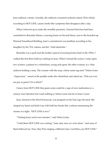Joan suffered a stroke. Actually, she suffered a transient ischemic attack (TIA) which, according to HOT LINE, causes stroke-like symptoms that disappear after a day.

When I showed up to make the monthly payment, I learned that Joan had been committed to Rosedale Manor, a nursing home on Second Street, next to the boarded up Planned Parenthood Building. Joan's commitment was justified, according to her daughter by her TIA, edema, and her "mild dementia."

Rosedale was a park-and-die facility, typical of nursing homes back in the 1970s. I walked the first-floor hallway looking for Joan. When I turned the corner, I came upon two women: a patient in a wheelchair, crying and upset, the other woman, in a blue uniform holding a mop. The woman with the mop, whose name tag read "Velma Goins - Supervisor," stared at the puddle under the wheelchair and asked me, "Did you ever see pee so green? Or so thick?"

I knew from HOT LINE that green urine could be a sign of new medication or a urinary tract infection but I said nothing as Velma Goins led me to Joan's room.

Joan, dressed in her floral housecoat, was propped on her bed, legs elevated. She clasped my hand and held it up with both her hands like a referee announcing the winner of a fight. "HOT LINE is *here!*"

"Visiting hours end in ten minutes," said Velma Goins.

"I told them HOT LINE was coming," Joan said, once we were alone, "and none of them believed me. Now, they'll be singing a different tune. God bless you HOT LINE."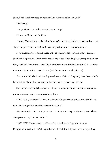She rubbed the silver cross on her necklace. "Do you believe in God?"

"Not really."

"Do you believe Jesus has sent you as my angel?"

"I'm not a Christian," I told her.

"I know. You're a Jew … like Kirk Douglas." She leaned her head closer and said in a stage whisper. "None of that matters as long as the Lord's purpose prevails."

I was uncomfortable and changed the subject. How did Joan feel about Rosedale? She liked the privacy — back at the house, she felt as if her daughter was spying on her. Plus, she liked the deserts (especially the rhubarb pie on Fridays), and the TV reception was much better at the nursing home (and there was a 21-inch color TV).

 But most of all, she loved the dogwood tree, with its dark spindly branches, outside her window. "I once had a dogwood but Buck cut it down," she told me.

She checked the wall clock, realized it was time to move on to the main event, and pulled a piece of paper from under her pillow.

"HOT LINE," she read, "If a mother has a child out of wedlock, can the child's last name be changed if the mother married the father?"

She continued. "HOT LINE, How can I write to Anita Bryant about the work she is doing concerning homosexualism."

"HOT LINE, I have heard that Fanne Fox went back to Argentina to have Congressman Wilbur Mills's baby out of wedlock. If the baby was born in Argentina,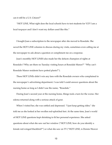can it still be a U.S. Citizen?"

"HOT LINE, What right does the local schools have to test students for V.D? I am a local taxpayer and I don't want my dollars used like this."

I bought Joan a subscription to the newspaper after she moved to Rosedale. She saved the HOT LINE columns to discuss during my visits, sometimes even calling me at the newspaper to ask about a question or compliment me on a response.

Joan's monthly HOT LINES also made her the defacto champion of rights at Rosedale ("Why are there no Tuesday visiting hours at Rosedale Manor?" "Why can't Rosedale Manor residents have potted plants?").

These HOT LINEs didn't win any fans with the Rosedale owners who complained to the newspaper's advertising department. I was told I could answer questions about the nursing home as long as I didn't use the name, "Rosedale."

During Joan's second year at the nursing home, things took a turn for the worse. Her edema returned along with a serious attack of gout.

When I visited her, she was rattled and depressed. "I just keep getting older," she told me as she looked at her swollen red-splotched feet. At the same time, Joan's world of HOT LINE questions kept shrinking to fit her personal experience. She asked questions about what she saw out her window ("HOT LINE, how do you identify a female red-winged blackbird?") or what she saw on TV ("HOT LINE, is Dennis Weaver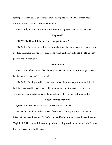really part-Cherokee?"), or what she saw on her plate ("HOT LINE, which has more calories, mashed potatoes or white bread?").

One month, her four questions were about the dogwood tree out her window.

# **Dagwood?**

QUESTION: How did the dogwood tree get its name?

ANSWER: The branches of the dogwood, because they were hard and dense, were used for the making of daggers (or *dags),* skewers*,* and arrows, hence the old English pronunciation, *dag*wood.

# **Dogwood RX**

QUESTION: I have heard that chewing the bark of the dogwood trees gets rid of headaches and diarrhea? Is this true?

ANSWER: The dogwood is known as a source of tannin, a quinine substitute. The bark has been used to treat malaria. However, other medical uses have not been verified, according to Dr. Vince Williams at I.U. Medical School in Indianapolis.

## **Dogwood: tree or shrub?**

QUESTION: Is a Dogwood a tree or a shrub or a flower?

ANSWER: The dogwood is a tree in the *Cornaceae* family. It is the state tree of Missouri, the state flower of North Carolina and both the state tree and state flower of Virginia. P.S. The dramatic blooming petals of the dogwood are not technically flowers; they are *bracts*, modified leaves.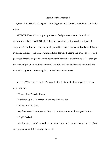# **Legend of the Dogwood**

QUESTION: What is the legend of the dogwood and Christ's crucifixion? Is it in the Bible?"

ANSWER: Hewitt Huntington, professor of religious studies at Carmichael community college, told HOT LINE that the legend of the dogwood is not part of scripture. According to the myth, the dogwood tree was ashamed and sad about its part in the crucifixion — the cross was made from dogwood. Seeing the unhappy tree, God promised that the dogwood would never again be used to crucify anyone. He changed the once-mighty dogwood into the small, spindly and crooked tree it is now, and He made the dogwood's flowering blooms look like small crosses.

In April, 1978, I arrived at Joan's room to find that a white-haired gentleman had displaced her.

"Where's Joan?" I asked him.

He pointed upwards, as if she'd gone to the hereafter.

"Did she die?" I asked.

"No, they moved her upstairs," he said, spittle forming on the edge of his lips. "Why?" I asked.

"It's closer to heaven," he said. At the nurse's station, I learned that the second floor was populated with terminally ill patients.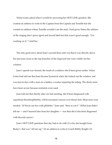Velma Goins asked when I would be answering her HOT LINE question. She wanted an address to write to the Captain from the Captain and Tennille but she wanted an address where Tennille wouldn't see the mail. I had given Velma the address of the singing duo's press agent and record label but that wasn't good enough. "I'm working on it." I told her.

The only good news about Joan's second-floor unit was that it was directly above her previous room so the top branches of the dogwood tree were visible out her window.

Joan's speech was slurred, the result of a sedative she'd been given earlier. Velma Goins had told me that Joan became hysterical when she looked out the window and was face-to-face with a man on a ladder, a worker repairing the siding. The shock must have been severe because restraints were used.

Joan told me that shortly after our last meeting, she'd been diagnosed with superficial thrombophlebitis, which increased concern over blood clots. More tests were needed. "If Nixon can live with phlebitis," Joan said, "then so can I." (What Joan didn't tell me — and I learned later from her daughter — was that she'd also been diagnosed with thyroid cancer.)

Joan's HOT LINE questions that day had to do with (1) a bra she bought from Becky's that was "all tore up," (2) an address to write to Coach Bobby Knight, (3)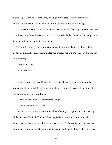where to get the rules for air hockey, and (4) why "a black family with no minor children is allowed to stay in a five-bedroom apartment in public housing."

The questions were out of character and Joan confessed that they were not hers. "My daughter wrote those. I wasn't up to it." I wondered whether I was contractually bound to respond to Joan's daughter's questions.

The sedative finally caught up with Joan and she nodded out. Or I thought she nodded out until her boney hand pulled me towards her and she whispered in my ear, "He's coming."

"Christ?" I asked.

"*Buck,"* she said.

I waited a few days to call Joan's daughter. She thanked me for sorting out her problem with the bra at Becky's and for making the monthly payments on time. Then she talked about Joan's condition.

"Mom's in a bad way … she imagines things."

"Like hallucinations?" I asked.

"She makes up stories in her mind." I heard her light a cigarette and take a drag. "Like God sent HOT LINE to beat the druggie devil tenant. And she believed you would take her back to her old house, to live out her final days. We told her, no, that would never happen, but she wouldn't listen and sold you the house. She's been that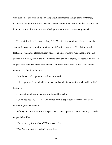way ever since she found Buck on the patio. She imagines things, prays for things, wishes for things. You'd think that she'd know better. Buck used to tell her, 'Wish in one hand and shit in the other and see which gets filled up first.' Excuse my French."

The next time I visited Joan — May 1, 1978 — the dogwood had bloomed and she seemed to have forgotten the previous month's odd encounter. We sat side by side, looking down on the blossoms from her second floor window. "See those four petals shaped like a cross, and in the middle there's the crown of thorns," she said. "And at the edge of each petal is a mark from the nails, and that red is Jesus' blood." She smiled, reflecting on the floral beauty.

"If only we could open the window," she said.

I tried opening it, but a locking device had been installed on the latch and I couldn't budge it.

I wheeled Joan back to her bed and helped her get in.

"God bless you HOT LINE." She sipped from a paper cup. "Has the Lord been talking to you?" she asked.

Before Joan could spread the gospel, Velma Goins appeared in the doorway, a candy striper behind her.

"Are we ready for our bath?" Velma asked Joan .

"*We*? Are you taking one, too?" asked Joan .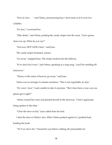"Now Jo Ann . . . " said Velma, pronouncing Joan 's first name as if it were two syllables.

"It's *Joan,*" I corrected her .

"Okie dokie," said Velma, pushing the candy striper into the room. "Lisa's gonna clean you up. What do you say?"

"Not now, HOT LINE's here," said Joan.

The candy striper hesitated, unsure.

"Go away," snapped Joan. The striper backed into the hallway.

"If we don't do it now," said Velma, speaking in a sing-song, "you'll be smelling till tomorrow."

"Please, in the name of heaven, go away," said Joan.

Velma was no stranger to inmate resistance. "This is not negotiable, Jo Ann."

"*Her name's Joan*," I said, unable to take it anymore. "She's been here a year, can you please get it right?"

 Velma crossed her arms and planted herself in the doorway. "I don't appreciate being spoken to like that.*"*

"Close the door on her," Joan called from her bed.

I shut the door in Velma's face. When Velma pushed against it, I pushed back, holding the knob.

*"We'll see about this*," I heard her say before walking off, presumably for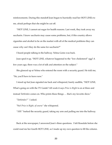reinforcements. During this standoff Joan began to hurriedly read her HOT LINEs to me, afraid perhaps that she might be cut off.

"HOT LINE, I cannot eat sugar for health reasons. Last week, they took away my saccharin. I know saccharin may cause some problems, but, if this country allows cigarettes and alcohol to be on the market with all of the medical problems they can cause why can't they do the same for saccharin?"

I heard people talking in the hallway. Velma Goins was back.

Joan sped it up, "HOT LINE, whatever happened to the "low cholesterol" egg? A few years ago, there was a lot of talk and attention on the subject."

She glanced up at Velma who entered the room with a security guard. He told me, "Sir, you'll have to leave now."

I stood up but Joan signaled me back and whispered, barely audible, "HOT LINE, What's going on with the TV Guide? All week it says *Price is Right* is on at three and instead *Tattletales* comes on. Who prints these things … that's my favorite show."

"*Tattletales?"* I asked.

"No! *Price is Right, of course"* she whispered.

"*SIR!"* barked the security guard, taking my arm and pulling me into the hallway.

Back at the newspaper, I answered Joan's three questions. I left Rosedale before she could read me her fourth HOT LINE, so I made up my own question to fill the column.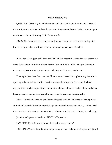#### **OPEN WINDOWS**

QUESTION - Recently, I visited someone at a local retirement home and I learned the windows do not open. I thought residential retirement homes had to provide open windows or air conditioning. M.R., Butterworth

ANSWER - You are correct. Unless a retirement home has central air cooling, state fire law requires that windows in the home must open at least 18 inches.

A few days later, Joan called me at HOT LINE to report that the windows were now open at Rosedale. "Another victory for the Lord and HOT LINE," she proclaimed in what was to be our final conversation. "Thanks for showing me the way."

That night, Joan took her own life. She squeezed herself through the eighteen-inch opening in her window, and fell into the arms of the dogwood tree, one of whose dagger-like branches impaled her. By the time she was discovered, her blood had dried leaving reddish-brown streaks on the dogwood flowers and the sidewalk.

Velma Goins had found an envelope addressed to HOT LINE under Joan's pillow and when I went to Rosedale to pick it up, she pointed me out to a nurse, saying, "*He's*  the one who made us open the windows." Then to me, she said, "I hope you're happy."

Joan's envelope contained four HOT LINE questions.

HOT LINE: How do you remove bloodstains from cement? HOT LINE: Where should a woman go to report her husband beating on her. (Don't

21